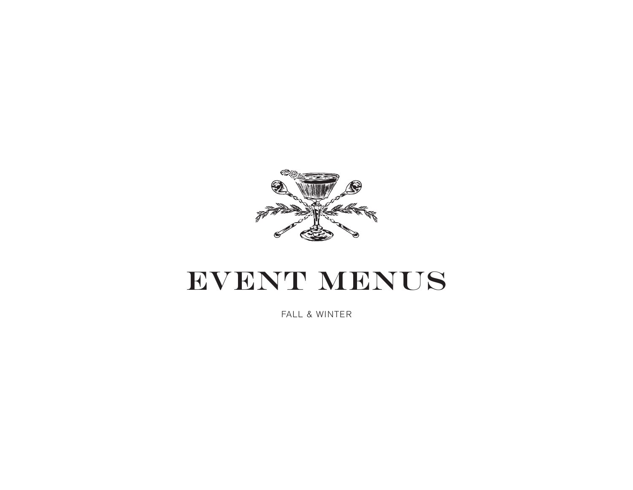

# EVENT MENUS

FALL & WINTER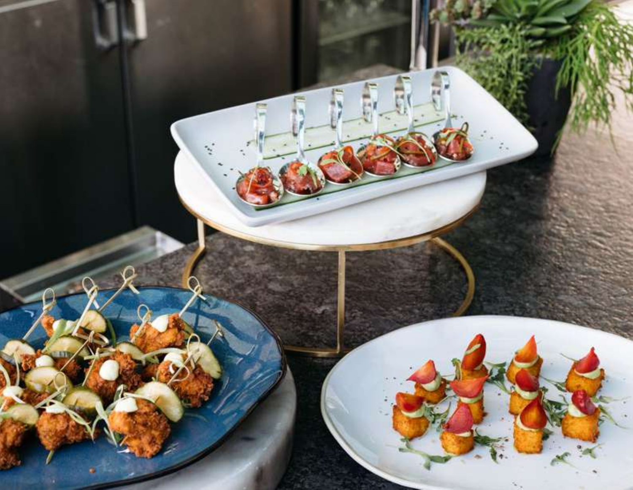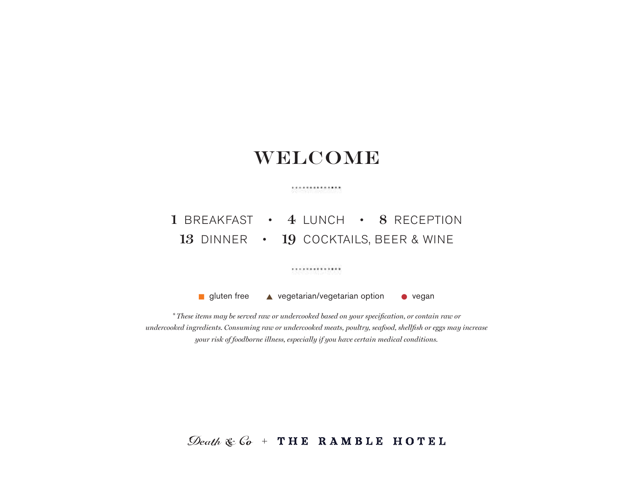## WELCOME

,,,,,,,,,,,,,,

## **1**  BREAKFAST • **4**  LUNCH • **8**  RECEPTION **13**  DINNER • **19**  COCKTAILS, BEER & WINE

■ gluten free ▲ vegetarian/vegetarian option ● vegan

. . . . <del>.</del> . . . . . . . . . .

*\* These items may be served raw or undercooked based on your specification, or contain raw or undercooked ingredients. Consuming raw or undercooked meats, poultry, seafood, shellfish or eggs may increase your risk of foodborne illness, especially if you have certain medical conditions.*

Death &  $G_0$  + THE RAMBLE HOTEL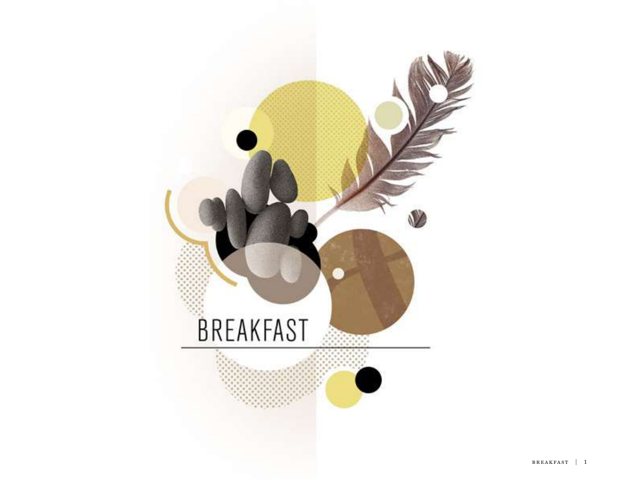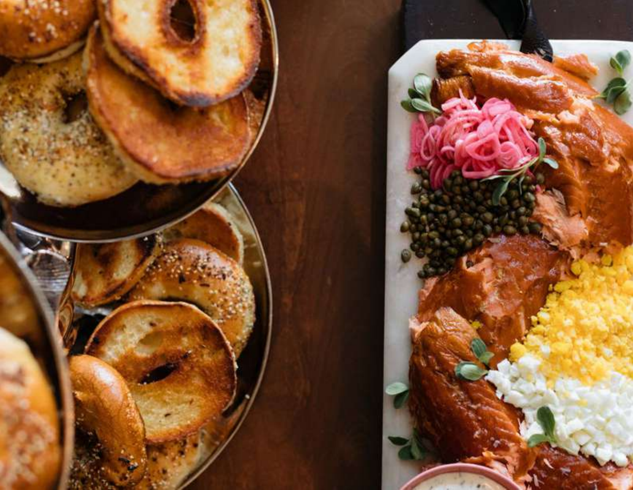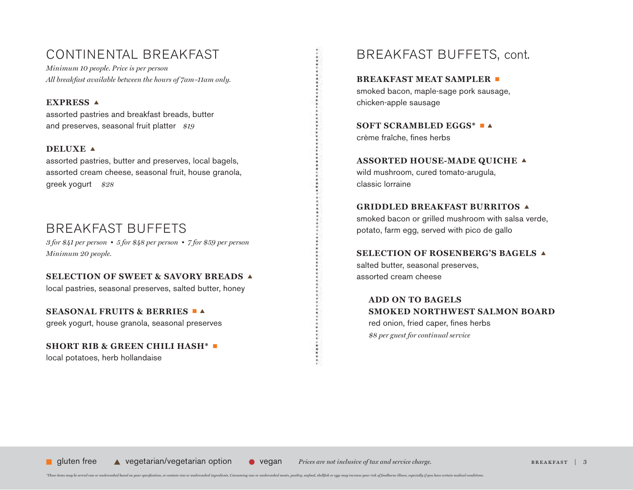### CONTINENTAL BREAKFAST

*Minimum 10 people. Price is per person All breakfast available between the hours of 7am–11am only.*

**EXPRESS** ▲ assorted pastries and breakfast breads, butter and preserves, seasonal fruit platter *\$19*

#### **DELUXE** ▲

assorted pastries, butter and preserves, local bagels, assorted cream cheese, seasonal fruit, house granola, greek yogurt *\$28*

### BREAKFAST BUFFETS

*3 for \$41 per person • 5 for \$48 per person • 7 for \$59 per person Minimum 20 people.* 

#### **SELECTION OF SWEET & SAVORY BREADS** ▲

local pastries, seasonal preserves, salted butter, honey

**SEASONAL FRUITS & BERRIES** ■ ▲

greek yogurt, house granola, seasonal preserves

**SHORT RIB & GREEN CHILI HASH\*** ■ local potatoes, herb hollandaise

### BREAKFAST BUFFETS, cont.

#### **BREAKFAST MEAT SAMPLER** ■

smoked bacon, maple-sage pork sausage, chicken-apple sausage

**SOFT SCRAMBLED EGGS\*** ■ ▲ crème fraîche, fines herbs

**ASSORTED HOUSE-MADE QUICHE** ▲ wild mushroom, cured tomato-arugula, classic lorraine

**GRIDDLED BREAKFAST BURRITOS** ▲ smoked bacon or grilled mushroom with salsa verde, potato, farm egg, served with pico de gallo

**SELECTION OF ROSENBERG'S BAGELS** ▲ salted butter, seasonal preserves, assorted cream cheese

**ADD ON TO BAGELS SMOKED NORTHWEST SALMON BOARD** red onion, fried caper, fines herbs *\$8 per guest for continual service*

■ gluten free A vegetarian/vegetarian option ● vegan *Prices are not inclusive of tax and service charge.* BREAKFAST | 3 *Prices are not inclusive of tax and service charge.*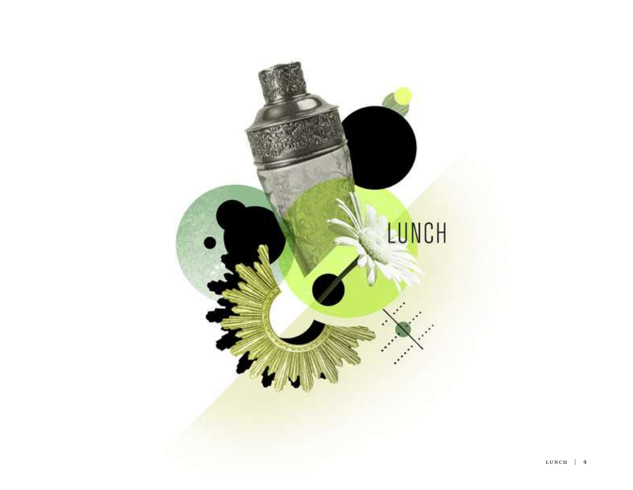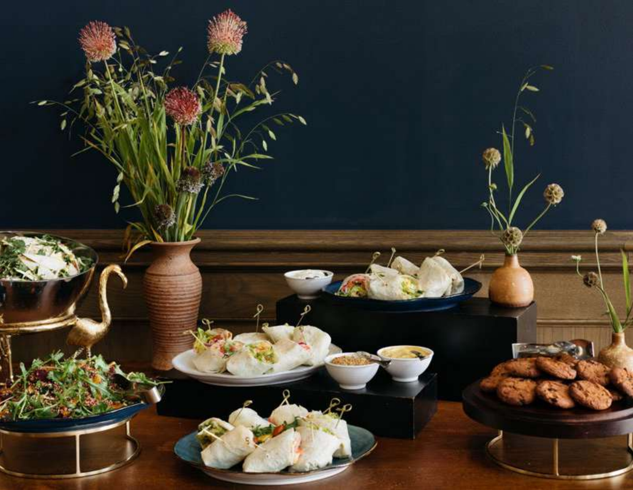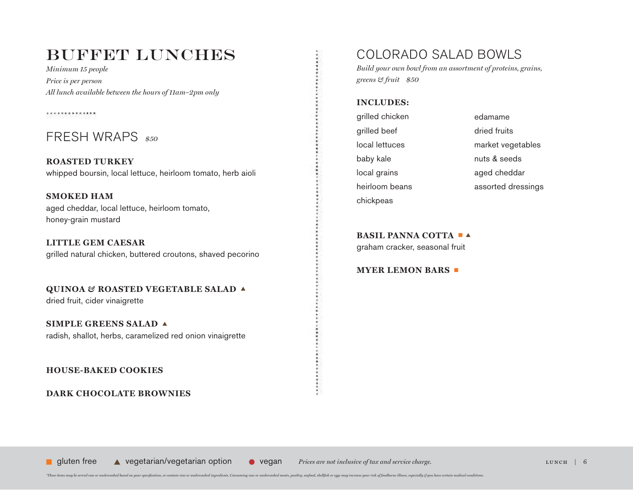## BUFFET LUNCHES

*Minimum 15 people Price is per person All lunch available between the hours of 11am–2pm only*

#### *<u>EXPLANATION CONTINUES.</u>*

### FRESH WRAPS *\$50*

**ROASTED TURKEY** whipped boursin, local lettuce, heirloom tomato, herb aioli

**SMOKED HAM** aged cheddar, local lettuce, heirloom tomato, honey-grain mustard

**LITTLE GEM CAESAR** grilled natural chicken, buttered croutons, shaved pecorino

**QUINOA & ROASTED VEGETABLE SALAD** ▲ dried fruit, cider vinaigrette

**SIMPLE GREENS SALAD** ▲ radish, shallot, herbs, caramelized red onion vinaigrette

**HOUSE-BAKED COOKIES**

**DARK CHOCOLATE BROWNIES**

## COLORADO SALAD BOWLS

*Build your own bowl from an assortment of proteins, grains, greens & fruit \$50*

#### **INCLUDES:**

grilled chicken grilled beef local lettuces baby kale local grains heirloom beans chickpeas

edamame dried fruits market vegetables nuts & seeds aged cheddar assorted dressings

**BASIL PANNA COTTA** ■ ▲ graham cracker, seasonal fruit

**MYER LEMON BARS** ■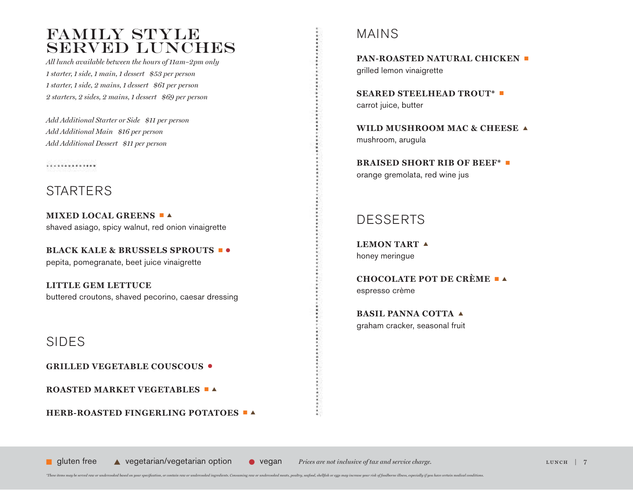## FAMILY STYLE SERVED LUNCHES

*All lunch available between the hours of 11am–2pm only 1 starter, 1 side, 1 main, 1 dessert \$53 per person 1 starter, 1 side, 2 mains, 1 dessert \$61 per person 2 starters, 2 sides, 2 mains, 1 dessert \$69 per person*

*Add Additional Starter or Side \$11 per person Add Additional Main \$16 per person Add Additional Dessert \$11 per person*

#### ..............

## **STARTERS**

**MIXED LOCAL GREENS** ■ ▲ shaved asiago, spicy walnut, red onion vinaigrette

**BLACK KALE & BRUSSELS SPROUTS** ■ ● pepita, pomegranate, beet juice vinaigrette

**LITTLE GEM LETTUCE** buttered croutons, shaved pecorino, caesar dressing

SIDES

**GRILLED VEGETABLE COUSCOUS** ●

**ROASTED MARKET VEGETABLES** ■ ▲

**HERB-ROASTED FINGERLING POTATOES** ■ ▲

### MAINS

**PAN-ROASTED NATURAL CHICKEN** ■ grilled lemon vinaigrette

**SEARED STEELHEAD TROUT\*** ■ carrot juice, butter

**WILD MUSHROOM MAC & CHEESE** ▲ mushroom, arugula

**BRAISED SHORT RIB OF BEEF\*** ■ orange gremolata, red wine jus

### DESSERTS

**LEMON TART** ▲ honey meringue

**CHOCOLATE POT DE CRÈME** ■ ▲ espresso crème

**BASIL PANNA COTTA** ▲ graham cracker, seasonal fruit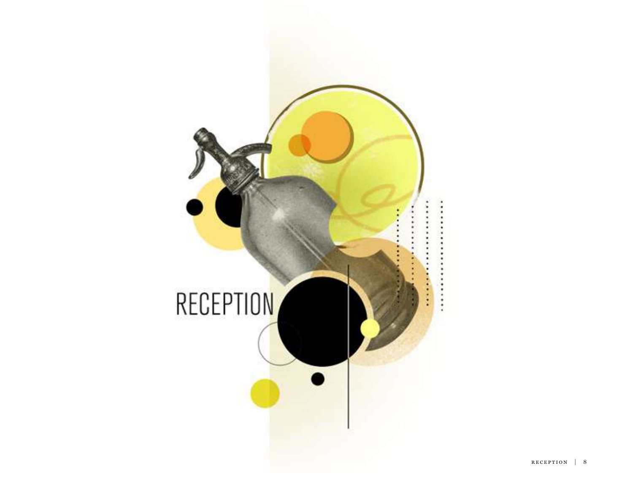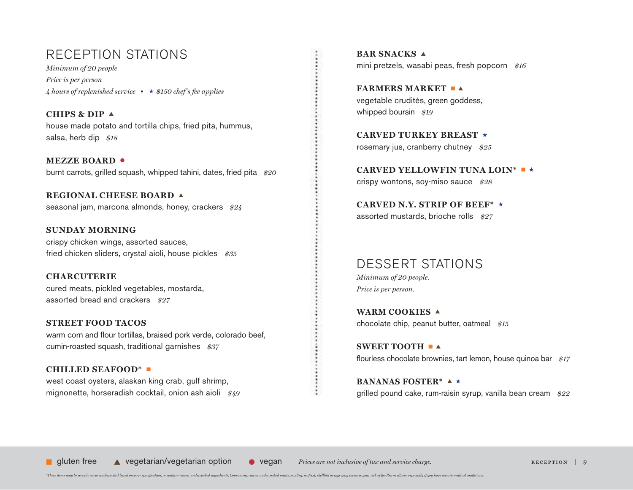### RECEPTION STATIONS

*Minimum of 20 people Price is per person 4 hours of replenished service •* + *\$150 chef 's fee applies*

**CHIPS & DIP** ▲ house made potato and tortilla chips, fried pita, hummus, salsa, herb dip *\$18*

**MEZZE BOARD** ● burnt carrots, grilled squash, whipped tahini, dates, fried pita *\$20*

**REGIONAL CHEESE BOARD** ▲ seasonal jam, marcona almonds, honey, crackers *\$24*

**SUNDAY MORNING** crispy chicken wings, assorted sauces, fried chicken sliders, crystal aioli, house pickles *\$35*

**CHARCUTERIE** cured meats, pickled vegetables, mostarda, assorted bread and crackers *\$27*

**STREET FOOD TACOS** warm corn and flour tortillas, braised pork verde, colorado beef, cumin-roasted squash, traditional garnishes *\$37*

#### **CHILLED SEAFOOD\*** ■

west coast oysters, alaskan king crab, gulf shrimp, mignonette, horseradish cocktail, onion ash aioli *\$49*

**BAR SNACKS** ▲ mini pretzels, wasabi peas, fresh popcorn *\$16*

**FARMERS MARKET** ■ ▲ vegetable crudités, green goddess, whipped boursin *\$19*

**CARVED TURKEY BREAST** + rosemary jus, cranberry chutney *\$25*

**CARVED YELLOWFIN TUNA LOIN\*** ■ + crispy wontons, soy-miso sauce *\$28*

**CARVED N.Y. STRIP OF BEEF\*** + assorted mustards, brioche rolls *\$27*

DESSERT STATIONS *Minimum of 20 people. Price is per person.*

**WARM COOKIES** ▲ chocolate chip, peanut butter, oatmeal *\$15*

**SWEET TOOTH** ■ ▲ flourless chocolate brownies, tart lemon, house quinoa bar *\$17*

**BANANAS FOSTER<sup>\*</sup>** ▲  $\star$ grilled pound cake, rum-raisin syrup, vanilla bean cream *\$22*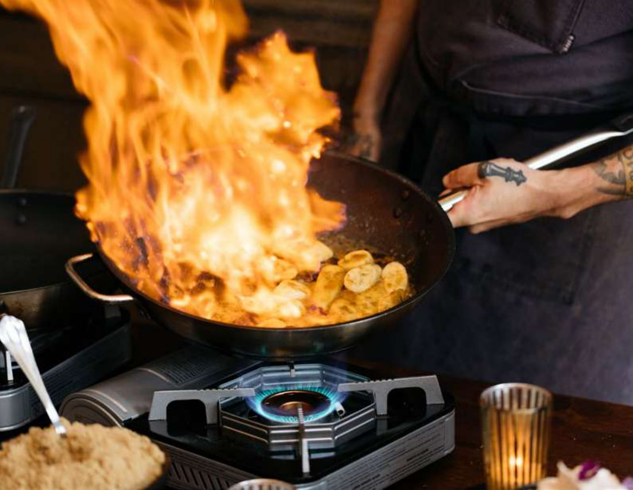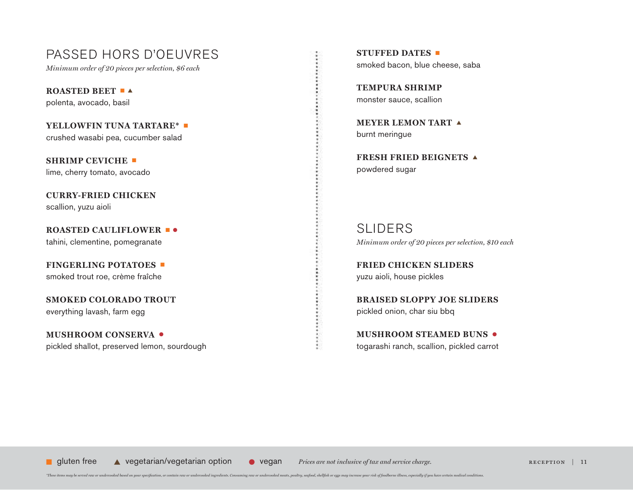PASSED HORS D'OEUVRES

*Minimum order of 20 pieces per selection, \$6 each*

**ROASTED BEET** ■ ▲ polenta, avocado, basil

**YELLOWFIN TUNA TARTARE\*** ■ crushed wasabi pea, cucumber salad

**SHRIMP CEVICHE** ■ lime, cherry tomato, avocado

**CURRY-FRIED CHICKEN** scallion, yuzu aioli

**ROASTED CAULIFLOWER** ■ ● tahini, clementine, pomegranate

**FINGERLING POTATOES** ■ smoked trout roe, crème fraîche

**SMOKED COLORADO TROUT**  everything lavash, farm egg

**MUSHROOM CONSERVA** ● pickled shallot, preserved lemon, sourdough **STUFFED DATES** ■ smoked bacon, blue cheese, saba

**TEMPURA SHRIMP**  monster sauce, scallion

**MEYER LEMON TART** ▲ burnt meringue

**FRESH FRIED BEIGNETS** ▲ powdered sugar

SLIDERS *Minimum order of 20 pieces per selection, \$10 each*

**FRIED CHICKEN SLIDERS**  yuzu aioli, house pickles

**BRAISED SLOPPY JOE SLIDERS**  pickled onion, char siu bbq

**MUSHROOM STEAMED BUNS** ● togarashi ranch, scallion, pickled carrot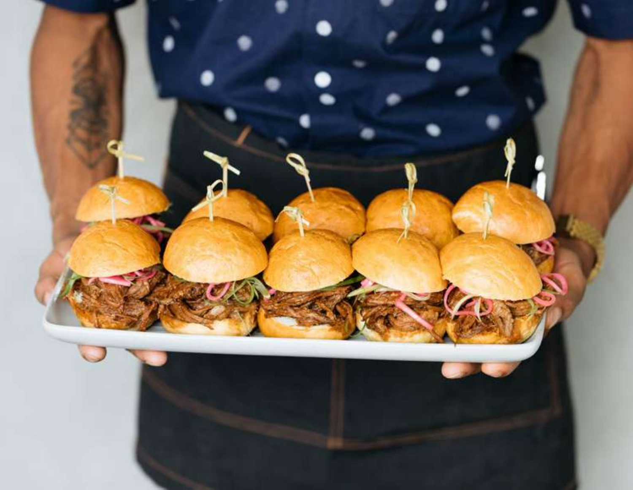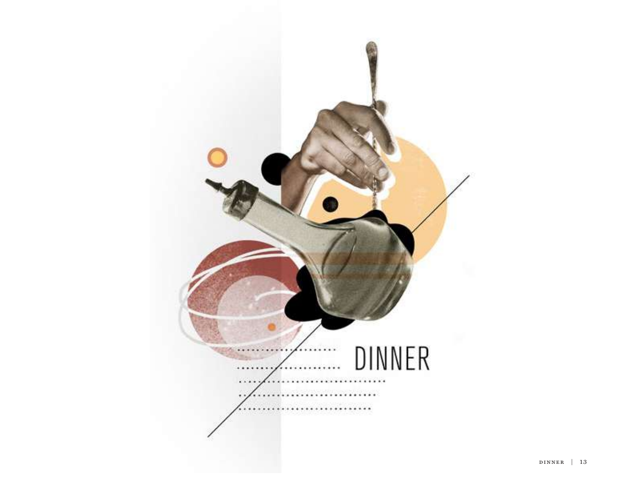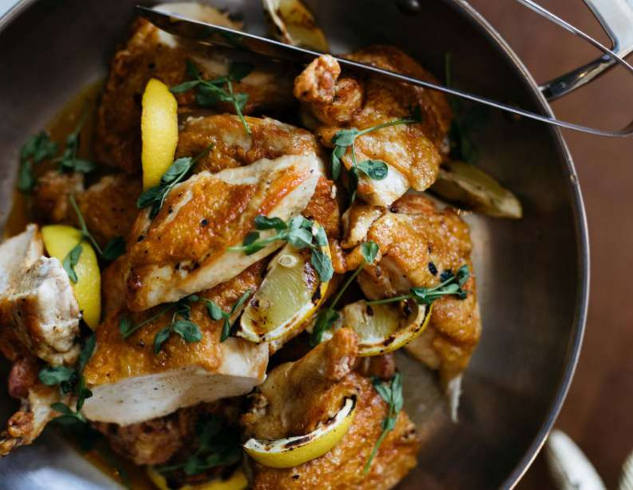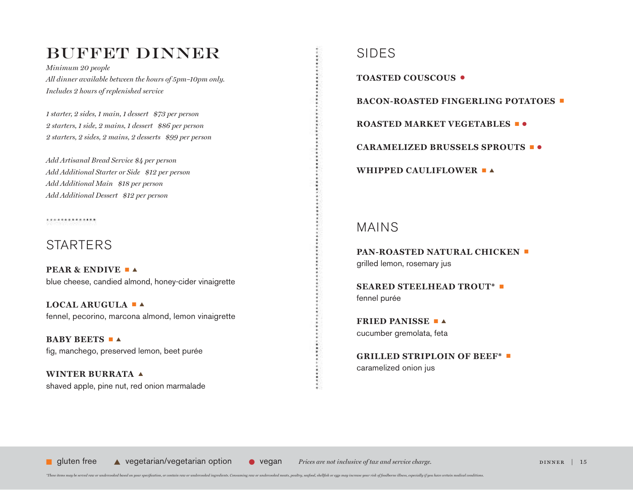## BUFFET DINNER

*Minimum 20 people All dinner available between the hours of 5pm–10pm only. Includes 2 hours of replenished service*

*1 starter, 2 sides, 1 main, 1 dessert \$73 per person 2 starters, 1 side, 2 mains, 1 dessert \$86 per person 2 starters, 2 sides, 2 mains, 2 desserts \$99 per person*

*Add Artisanal Bread Service \$4 per person Add Additional Starter or Side \$12 per person Add Additional Main \$18 per person Add Additional Dessert \$12 per person*

..............

### STARTERS

**PEAR & ENDIVE** ■ ▲ blue cheese, candied almond, honey-cider vinaigrette

**LOCAL ARUGULA** ■ ▲ fennel, pecorino, marcona almond, lemon vinaigrette

**BABY BEETS** ■ ▲ fig, manchego, preserved lemon, beet purée

**WINTER BURRATA** ▲ shaved apple, pine nut, red onion marmalade

## SIDES

**TOASTED COUSCOUS** ●

**BACON-ROASTED FINGERLING POTATOES** ■

**ROASTED MARKET VEGETABLES** ■ ●

**CARAMELIZED BRUSSELS SPROUTS** ■ ●

**WHIPPED CAULIFLOWER** ■ ▲

### MAINS

**PAN-ROASTED NATURAL CHICKEN** ■ grilled lemon, rosemary jus

**SEARED STEELHEAD TROUT\*** ■ fennel purée

**FRIED PANISSE** ■ ▲ cucumber gremolata, feta

**GRILLED STRIPLOIN OF BEEF\*** ■ caramelized onion jus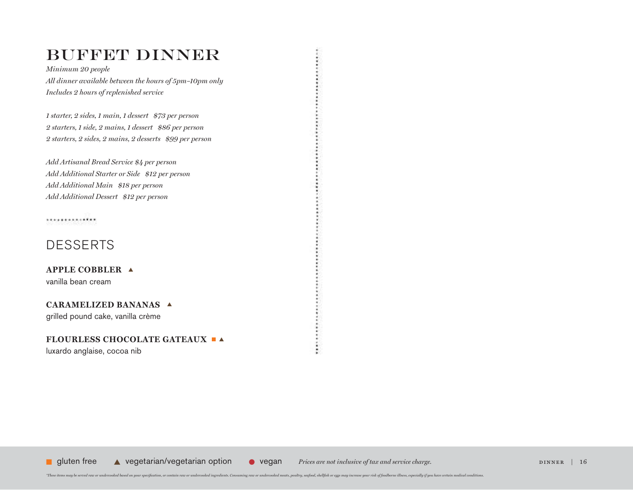## BUFFET DINNER

*Minimum 20 people All dinner available between the hours of 5pm–10pm only Includes 2 hours of replenished service*

*1 starter, 2 sides, 1 main, 1 dessert \$73 per person 2 starters, 1 side, 2 mains, 1 dessert \$86 per person 2 starters, 2 sides, 2 mains, 2 desserts \$99 per person*

*Add Artisanal Bread Service \$4 per person Add Additional Starter or Side \$12 per person Add Additional Main \$18 per person Add Additional Dessert \$12 per person*

\*\*\*\*\*\*\*\*\*\*\*\*\*\*

### DESSERTS

**APPLE COBBLER** ▲ vanilla bean cream

#### **CARAMELIZED BANANAS** ▲

grilled pound cake, vanilla crème

#### **FLOURLESS CHOCOLATE GATEAUX** ■ ▲

luxardo anglaise, cocoa nib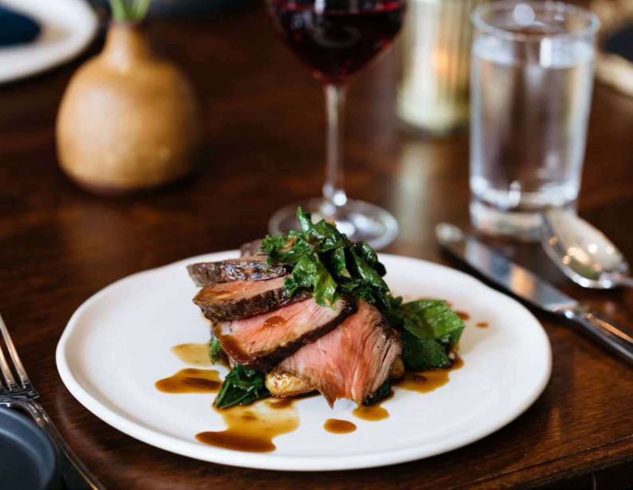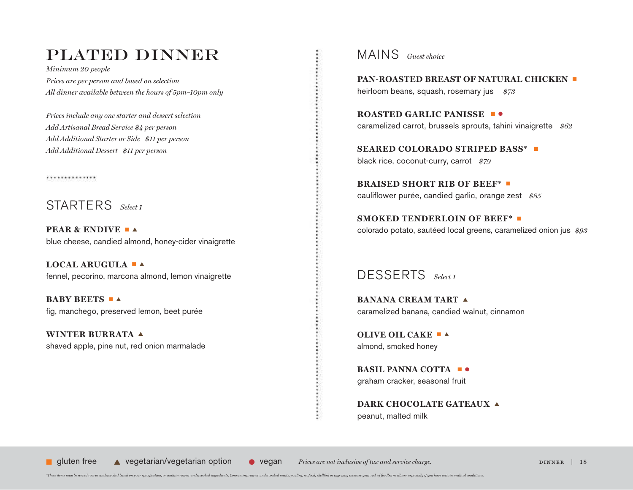## PLATED DINNER

*Minimum 20 people Prices are per person and based on selection All dinner available between the hours of 5pm–10pm only*

*Prices include any one starter and dessert selection Add Artisanal Bread Service \$4 per person Add Additional Starter or Side \$11 per person Add Additional Dessert \$11 per person*

\*\*\*\*\*\*\*\*\*\*\*\*\*\*

STARTERS *Select 1*

**PEAR & ENDIVE** ■ ▲ blue cheese, candied almond, honey-cider vinaigrette

**LOCAL ARUGULA** ■ ▲ fennel, pecorino, marcona almond, lemon vinaigrette

**BABY BEETS** ■ ▲ fig, manchego, preserved lemon, beet purée

**WINTER BURRATA** ▲ shaved apple, pine nut, red onion marmalade MAINS *Guest choice*

**PAN-ROASTED BREAST OF NATURAL CHICKEN** ■ heirloom beans, squash, rosemary jus *\$73*

**ROASTED GARLIC PANISSE** ■ ● caramelized carrot, brussels sprouts, tahini vinaigrette *\$62*

**SEARED COLORADO STRIPED BASS\*** ■ black rice, coconut-curry, carrot *\$79*

**BRAISED SHORT RIB OF BEEF\*** ■ cauliflower purée, candied garlic, orange zest *\$85*

**SMOKED TENDERLOIN OF BEEF\*** ■ colorado potato, sautéed local greens, caramelized onion jus *\$93*

DESSERTS *Select 1*

**BANANA CREAM TART** ▲ caramelized banana, candied walnut, cinnamon

**OLIVE OIL CAKE** ■ ▲ almond, smoked honey

**BASIL PANNA COTTA** ■ ● graham cracker, seasonal fruit

**DARK CHOCOLATE GATEAUX** ▲ peanut, malted milk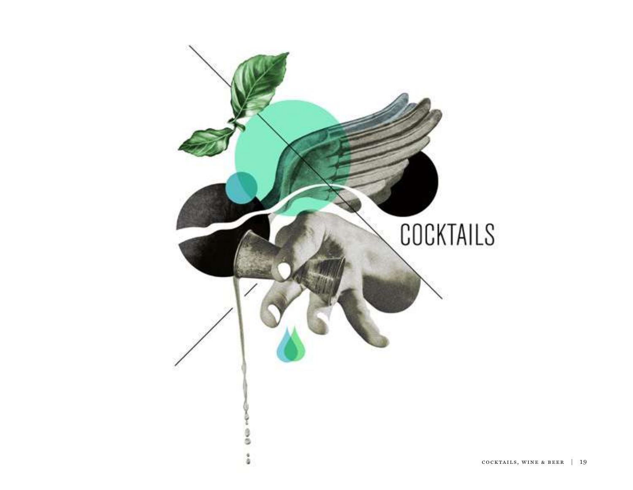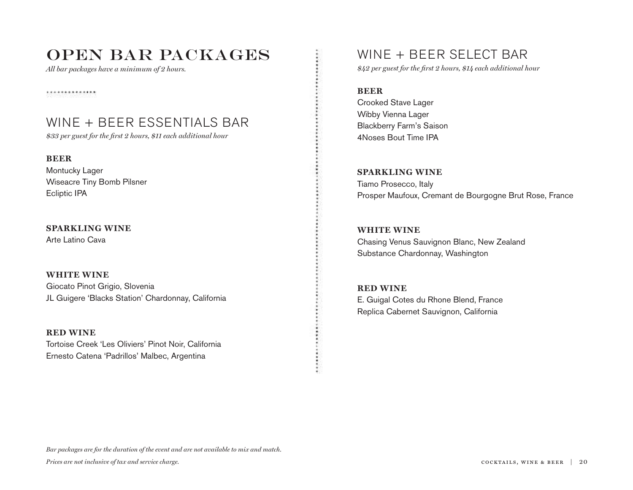## OPEN BAR PACKAGES

*All bar packages have a minimum of 2 hours.*

,,,,,,,,,,,,,

### WINE + BEER ESSENTIALS BAR

*\$33 per guest for the first 2 hours, \$11 each additional hour*

#### **BEER**

Montucky Lager Wiseacre Tiny Bomb Pilsner Ecliptic IPA

**SPARKLING WINE** Arte Latino Cava

**WHITE WINE** Giocato Pinot Grigio, Slovenia JL Guigere 'Blacks Station' Chardonnay, California

**RED WINE** Tortoise Creek 'Les Oliviers' Pinot Noir, California Ernesto Catena 'Padrillos' Malbec, Argentina

## WINE + BEER SELECT BAR

*\$42 per guest for the first 2 hours, \$14 each additional hour*

#### **BEER**

Crooked Stave Lager Wibby Vienna Lager Blackberry Farm's Saison 4Noses Bout Time IPA

**SPARKLING WINE** Tiamo Prosecco, Italy Prosper Maufoux, Cremant de Bourgogne Brut Rose, France

**WHITE WINE** Chasing Venus Sauvignon Blanc, New Zealand Substance Chardonnay, Washington

### **RED WINE**

E. Guigal Cotes du Rhone Blend, France Replica Cabernet Sauvignon, California

*Bar packages are for the duration of the event and are not available to mix and match.* 

*Prices are not inclusive of tax and service charge.*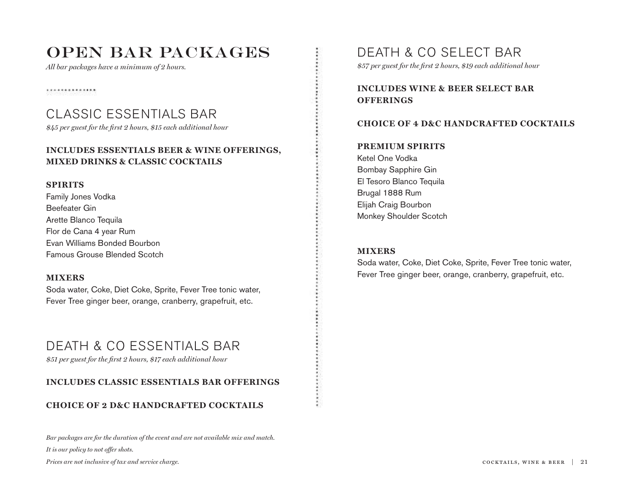## OPEN BAR PACKAGES

*All bar packages have a minimum of 2 hours.*

#### ,,,,,,,,,,,,,,

## CLASSIC ESSENTIALS BAR

*\$45 per guest for the first 2 hours, \$15 each additional hour*

#### **INCLUDES ESSENTIALS BEER & WINE OFFERINGS, MIXED DRINKS & CLASSIC COCKTAILS**

#### **SPIRITS**

Family Jones Vodka Beefeater Gin Arette Blanco Tequila Flor de Cana 4 year Rum Evan Williams Bonded Bourbon Famous Grouse Blended Scotch

#### **MIXERS**

Soda water, Coke, Diet Coke, Sprite, Fever Tree tonic water, Fever Tree ginger beer, orange, cranberry, grapefruit, etc.

### DEATH & CO ESSENTIALS BAR

*\$51 per guest for the first 2 hours, \$17 each additional hour*

#### **INCLUDES CLASSIC ESSENTIALS BAR OFFERINGS**

#### **CHOICE OF 2 D&C HANDCRAFTED COCKTAILS**

*Bar packages are for the duration of the event and are not available mix and match.*

*It is our policy to not offer shots.*

*Prices are not inclusive of tax and service charge.*

### DEATH & CO SELECT BAR

*\$57 per guest for the first 2 hours, \$19 each additional hour*

#### **INCLUDES WINE & BEER SELECT BAR OFFERINGS**

#### **CHOICE OF 4 D&C HANDCRAFTED COCKTAILS**

#### **PREMIUM SPIRITS**

Ketel One Vodka Bombay Sapphire Gin El Tesoro Blanco Tequila Brugal 1888 Rum Elijah Craig Bourbon Monkey Shoulder Scotch

#### **MIXERS**

Soda water, Coke, Diet Coke, Sprite, Fever Tree tonic water, Fever Tree ginger beer, orange, cranberry, grapefruit, etc.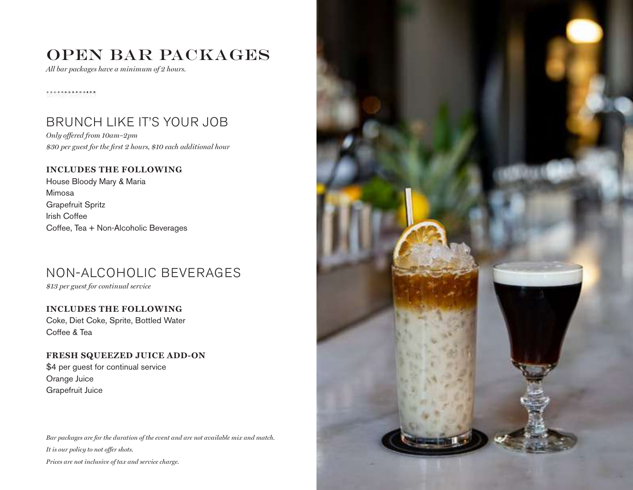## OPEN BAR PACKAGES

*All bar packages have a minimum of 2 hours.*

,,,,,,,,,,,,,,

## BRUNCH LIKE IT'S YOUR JOB

*Only offered from 10am–2pm \$30 per guest for the first 2 hours, \$10 each additional hour*

#### **INCLUDES THE FOLLOWING**

House Bloody Mary & Maria Mimosa Grapefruit Spritz Irish Coffee Coffee, Tea + Non-Alcoholic Beverages

## NON-ALCOHOLIC BEVERAGES

*\$13 per guest for continual service*

#### **INCLUDES THE FOLLOWING**

Coke, Diet Coke, Sprite, Bottled Water Coffee & Tea

#### **FRESH SQUEEZED JUICE ADD-ON**

\$4 per guest for continual service Orange Juice Grapefruit Juice

*Prices are not inclusive of tax and service charge. Bar packages are for the duration of the event and are not available mix and match. It is our policy to not offer shots.*

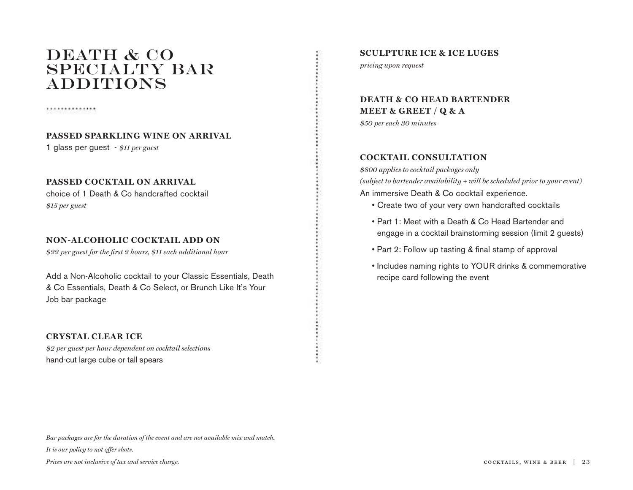## DEATH & CO SPECIALTY BAR ADDITIONS

#### ,,,,,,,,,,,,,,,

#### **PASSED SPARKLING WINE ON ARRIVAL**

1 glass per guest - *\$11 per guest*

#### **PASSED COCKTAIL ON ARRIVAL**

choice of 1 Death & Co handcrafted cocktail *\$15 per guest*

#### **NON-ALCOHOLIC COCKTAIL ADD ON**

*\$22 per guest for the first 2 hours, \$11 each additional hour*

Add a Non-Alcoholic cocktail to your Classic Essentials, Death & Co Essentials, Death & Co Select, or Brunch Like It's Your Job bar package

#### **CRYSTAL CLEAR ICE**

*\$2 per guest per hour dependent on cocktail selections* hand-cut large cube or tall spears

#### **SCULPTURE ICE & ICE LUGES**

*pricing upon request*

#### **DEATH & CO HEAD BARTENDER MEET & GREET / Q & A**  *\$50 per each 30 minutes*

#### **COCKTAIL CONSULTATION**

*\$800 applies to cocktail packages only (subject to bartender availability + will be scheduled prior to your event)* An immersive Death & Co cocktail experience.

- Create two of your very own handcrafted cocktails
- Part 1: Meet with a Death & Co Head Bartender and engage in a cocktail brainstorming session (limit 2 guests)
- Part 2: Follow up tasting & final stamp of approval
- Includes naming rights to YOUR drinks & commemorative recipe card following the event

*Bar packages are for the duration of the event and are not available mix and match.*

*It is our policy to not offer shots.*

*Prices are not inclusive of tax and service charge.*  $\vert 23 \vert$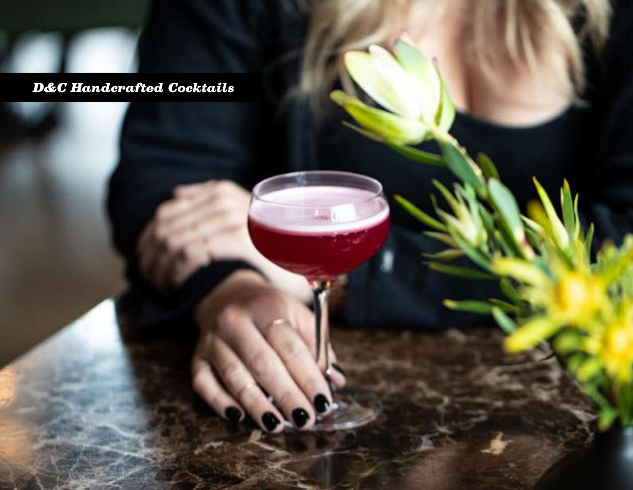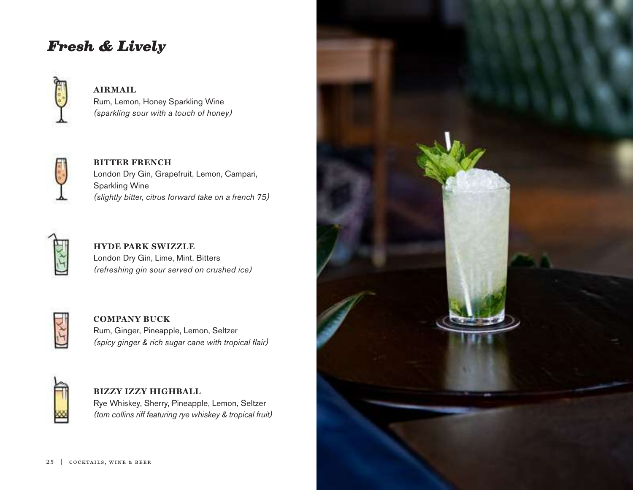## *Fresh & Lively*



**AIRMAIL** Rum, Lemon, Honey Sparkling Wine *(sparkling sour with a touch of honey)*



**BITTER FRENCH** London Dry Gin, Grapefruit, Lemon, Campari, Sparkling Wine *(slightly bitter, citrus forward take on a french 75)*



**HYDE PARK SWIZZLE** London Dry Gin, Lime, Mint, Bitters *(refreshing gin sour served on crushed ice)*



**COMPANY BUCK** Rum, Ginger, Pineapple, Lemon, Seltzer *(spicy ginger & rich sugar cane with tropical flair)*



**BIZZY IZZY HIGHBALL** Rye Whiskey, Sherry, Pineapple, Lemon, Seltzer *(tom collins riff featuring rye whiskey & tropical fruit)*

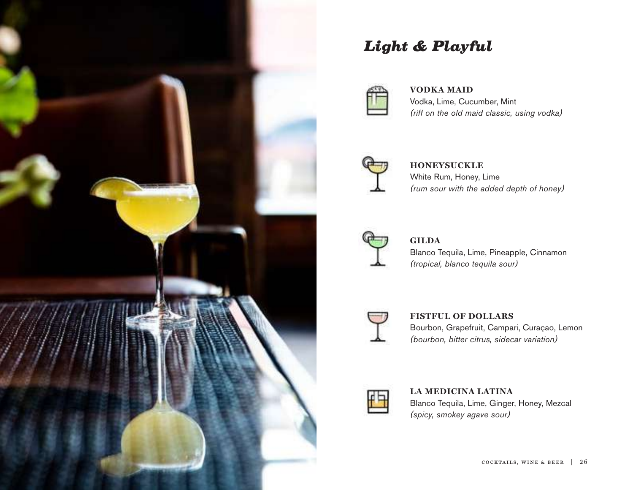

## *Light & Playful*



**VODKA MAID** Vodka, Lime, Cucumber, Mint *(riff on the old maid classic, using vodka)*



**HONEYSUCKLE** White Rum, Honey, Lime *(rum sour with the added depth of honey)*



**GILDA** Blanco Tequila, Lime, Pineapple, Cinnamon *(tropical, blanco tequila sour)*



**FISTFUL OF DOLLARS** Bourbon, Grapefruit, Campari, Curaçao, Lemon *(bourbon, bitter citrus, sidecar variation)*



**LA MEDICINA LATINA** Blanco Tequila, Lime, Ginger, Honey, Mezcal *(spicy, smokey agave sour)*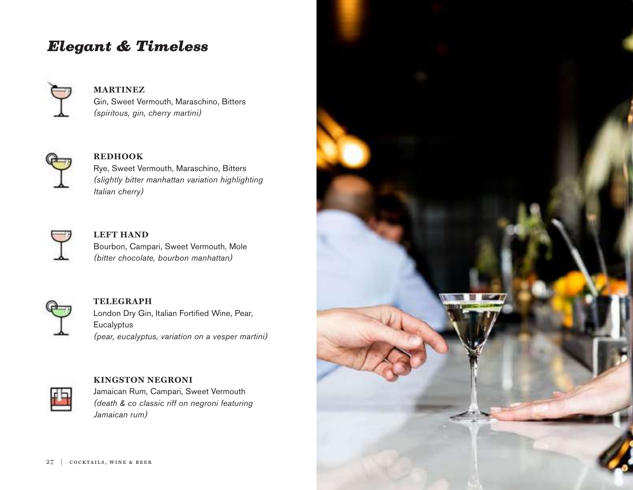## *Elegant & Timeless*



**MARTINEZ** Gin, Sweet Vermouth, Maraschino, Bitters *(spiritous, gin, cherry martini)*



**REDHOOK** Rye, Sweet Vermouth, Maraschino, Bitters *(slightly bitter manhattan variation highlighting Italian cherry)*



**LEFT HAND** Bourbon, Campari, Sweet Vermouth, Mole *(bitter chocolate, bourbon manhattan)*



**TELEGRAPH** London Dry Gin, Italian Fortified Wine, Pear, Eucalyptus *(pear, eucalyptus, variation on a vesper martini)*



**KINGSTON NEGRONI** Jamaican Rum, Campari, Sweet Vermouth *(death & co classic riff on negroni featuring Jamaican rum)*

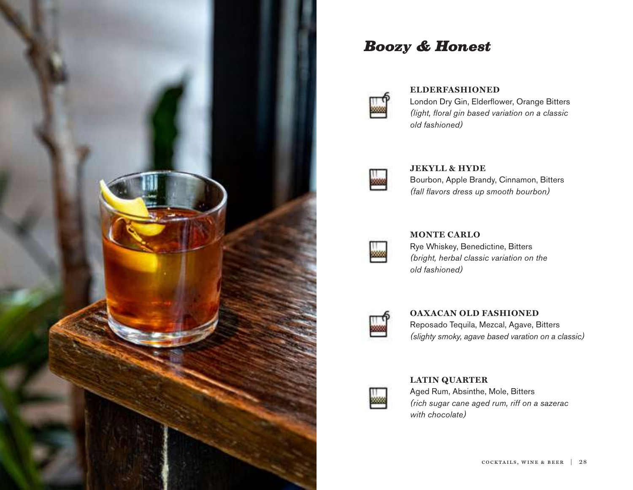

## *Boozy & Honest*



#### **ELDERFASHIONED**

London Dry Gin, Elderflower, Orange Bitters *(light, floral gin based variation on a classic old fashioned)*



#### **JEKYLL & HYDE** Bourbon, Apple Brandy, Cinnamon, Bitters *(fall flavors dress up smooth bourbon)*



#### **MONTE CARLO**

Rye Whiskey, Benedictine, Bitters *(bright, herbal classic variation on the old fashioned)*



#### **OAXACAN OLD FASHIONED** Reposado Tequila, Mezcal, Agave, Bitters *(slighty smoky, agave based varation on a classic)*



#### **LATIN QUARTER** Aged Rum, Absinthe, Mole, Bitters *(rich sugar cane aged rum, riff on a sazerac with chocolate)*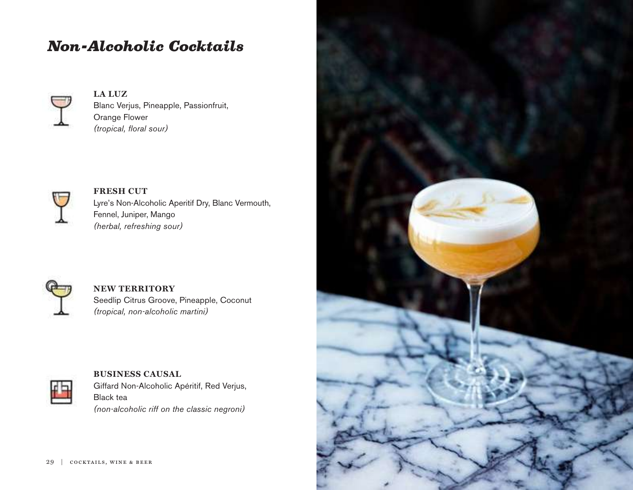## *Non-Alcoholic Cocktails*



**LA LUZ** Blanc Verjus, Pineapple, Passionfruit, Orange Flower *(tropical, floral sour)*



**FRESH CUT** Lyre's Non-Alcoholic Aperitif Dry, Blanc Vermouth, Fennel, Juniper, Mango *(herbal, refreshing sour)*



**NEW TERRITORY** Seedlip Citrus Groove, Pineapple, Coconut *(tropical, non-alcoholic martini)*



**BUSINESS CAUSAL** Giffard Non-Alcoholic Apéritif, Red Verjus, Black tea *(non-alcoholic riff on the classic negroni)*